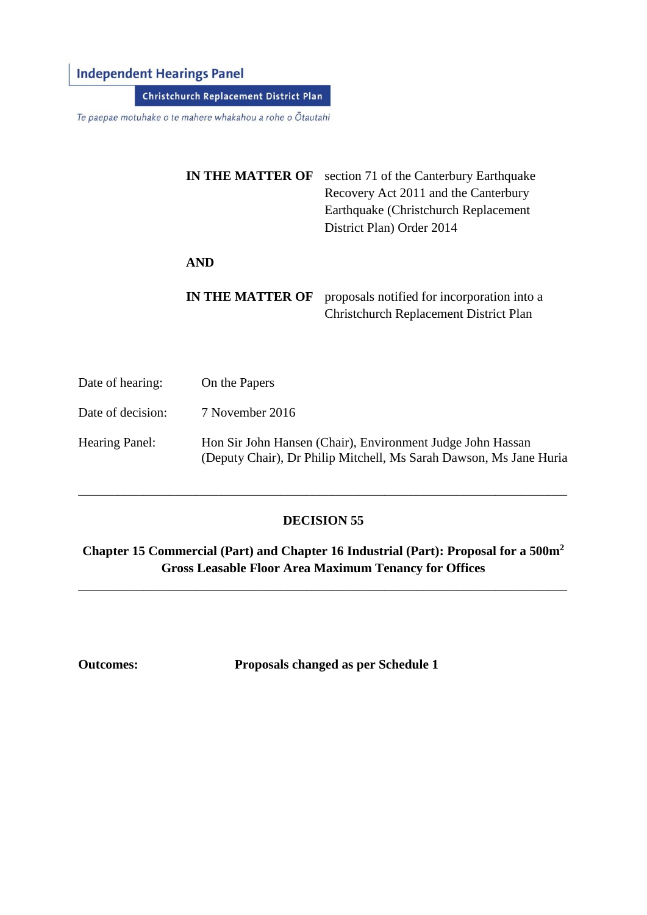# **Independent Hearings Panel**

**Christchurch Replacement District Plan** 

Te paepae motuhake o te mahere whakahou a rohe o Ōtautahi

| <b>IN THE MATTER OF</b> | section 71 of the Canterbury Earthquake<br>Recovery Act 2011 and the Canterbury<br>Earthquake (Christchurch Replacement<br>District Plan) Order 2014 |
|-------------------------|------------------------------------------------------------------------------------------------------------------------------------------------------|
| <b>AND</b>              |                                                                                                                                                      |
| <b>IN THE MATTER OF</b> | proposals notified for incorporation into a<br><b>Christchurch Replacement District Plan</b>                                                         |

| Date of hearing:  | On the Papers                                                                                                                    |
|-------------------|----------------------------------------------------------------------------------------------------------------------------------|
| Date of decision: | 7 November 2016                                                                                                                  |
| Hearing Panel:    | Hon Sir John Hansen (Chair), Environment Judge John Hassan<br>(Deputy Chair), Dr Philip Mitchell, Ms Sarah Dawson, Ms Jane Huria |

## **DECISION 55**

\_\_\_\_\_\_\_\_\_\_\_\_\_\_\_\_\_\_\_\_\_\_\_\_\_\_\_\_\_\_\_\_\_\_\_\_\_\_\_\_\_\_\_\_\_\_\_\_\_\_\_\_\_\_\_\_\_\_\_\_\_\_\_\_\_\_\_\_\_\_\_\_\_\_\_

**Chapter 15 Commercial (Part) and Chapter 16 Industrial (Part): Proposal for a 500m<sup>2</sup> Gross Leasable Floor Area Maximum Tenancy for Offices**

\_\_\_\_\_\_\_\_\_\_\_\_\_\_\_\_\_\_\_\_\_\_\_\_\_\_\_\_\_\_\_\_\_\_\_\_\_\_\_\_\_\_\_\_\_\_\_\_\_\_\_\_\_\_\_\_\_\_\_\_\_\_\_\_\_\_\_\_\_\_\_\_\_\_\_

**Outcomes: Proposals changed as per Schedule 1**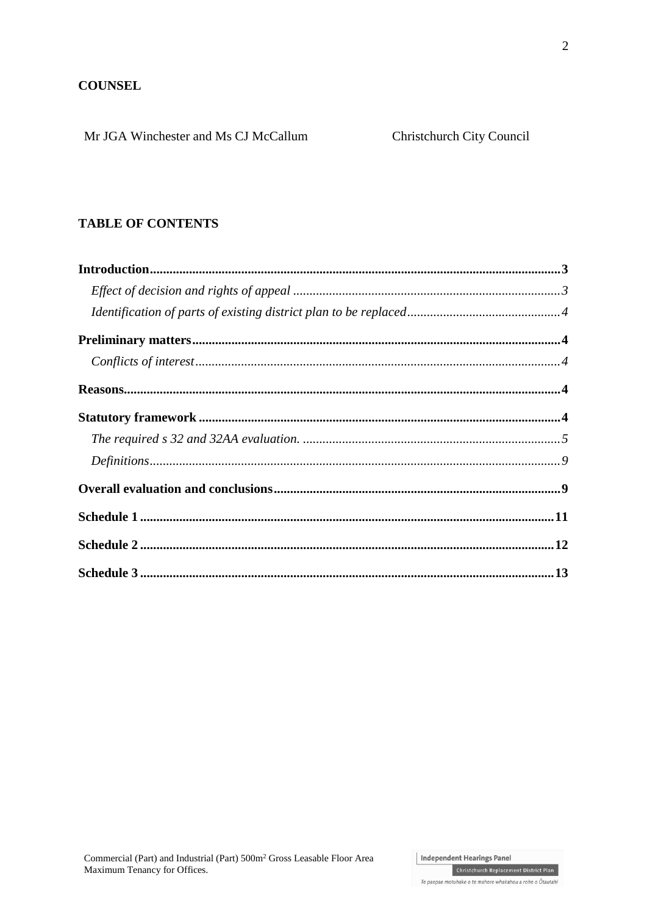## **COUNSEL**

Mr JGA Winchester and Ms CJ McCallum

## **TABLE OF CONTENTS**

Christchurch Replacement District Plan Te paepae motuhake o te mahere whakahou a rohe o Ōtautahi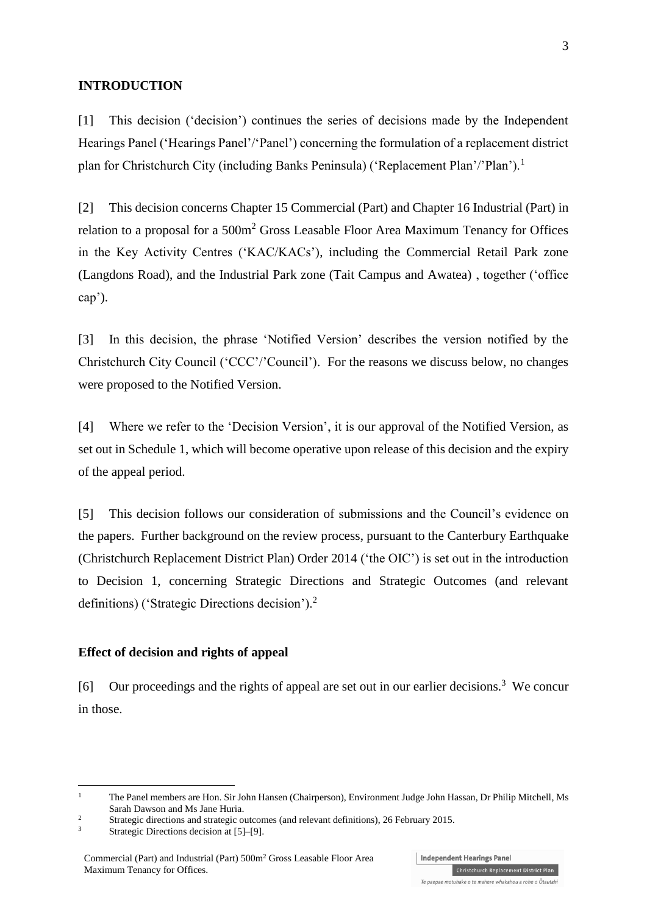#### **INTRODUCTION**

[1] This decision ('decision') continues the series of decisions made by the Independent Hearings Panel ('Hearings Panel'/'Panel') concerning the formulation of a replacement district plan for Christchurch City (including Banks Peninsula) ('Replacement Plan'/'Plan').<sup>1</sup>

[2] This decision concerns Chapter 15 Commercial (Part) and Chapter 16 Industrial (Part) in relation to a proposal for a 500m<sup>2</sup> Gross Leasable Floor Area Maximum Tenancy for Offices in the Key Activity Centres ('KAC/KACs'), including the Commercial Retail Park zone (Langdons Road), and the Industrial Park zone (Tait Campus and Awatea) , together ('office cap').

[3] In this decision, the phrase 'Notified Version' describes the version notified by the Christchurch City Council ('CCC'/'Council'). For the reasons we discuss below, no changes were proposed to the Notified Version.

[4] Where we refer to the 'Decision Version', it is our approval of the Notified Version, as set out in Schedule 1, which will become operative upon release of this decision and the expiry of the appeal period.

[5] This decision follows our consideration of submissions and the Council's evidence on the papers. Further background on the review process, pursuant to the [Canterbury Earthquake](http://www.legislation.govt.nz/regulation/public/2014/0228/latest/DLM6190883.html?search=ts_act%40bill%40regulation%40deemedreg_Canterbury+Earthquake+%28Christchurch+Replacement+District+Plan%29+Order+2014+_resel_25_a&p=1)  [\(Christchurch Replacement District Plan\) Order 2014](http://www.legislation.govt.nz/regulation/public/2014/0228/latest/DLM6190883.html?search=ts_act%40bill%40regulation%40deemedreg_Canterbury+Earthquake+%28Christchurch+Replacement+District+Plan%29+Order+2014+_resel_25_a&p=1) ('the OIC') is set out in the introduction to Decision 1, concerning Strategic Directions and Strategic Outcomes (and relevant definitions) ('Strategic Directions decision').<sup>2</sup>

#### **Effect of decision and rights of appeal**

[6] Our proceedings and the rights of appeal are set out in our earlier decisions.<sup>3</sup> We concur in those.

<u>.</u>

Te paepae motuhake o te mahere whakahou a rohe o Ōtautahi

<sup>&</sup>lt;sup>1</sup> The Panel members are Hon. Sir John Hansen (Chairperson), Environment Judge John Hassan, Dr Philip Mitchell, Ms Sarah Dawson and Ms Jane Huria.

<sup>&</sup>lt;sup>2</sup><br>[Strategic directions and strategic outcomes \(and relevant definitions\), 26 February 2015.](http://www.chchplan.ihp.govt.nz/wp-content/uploads/2015/03/Strategic-Directions-and-Strategic-Outcomes-Decision.pdf)

Strategic Directions decision at [5]–[9].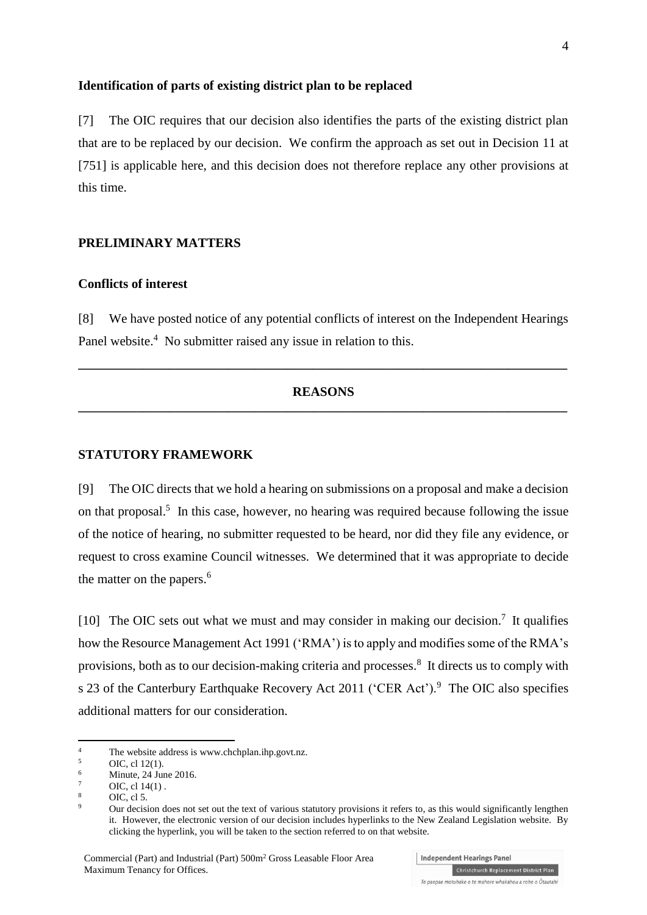#### **Identification of parts of existing district plan to be replaced**

[7] The OIC requires that our decision also identifies the parts of the existing district plan that are to be replaced by our decision. We confirm the approach as set out in Decision 11 at [751] is applicable here, and this decision does not therefore replace any other provisions at this time.

## **PRELIMINARY MATTERS**

#### **Conflicts of interest**

[8] We have posted notice of any potential conflicts of interest on the Independent Hearings Panel website.<sup>4</sup> No submitter raised any issue in relation to this.

## **REASONS \_\_\_\_\_\_\_\_\_\_\_\_\_\_\_\_\_\_\_\_\_\_\_\_\_\_\_\_\_\_\_\_\_\_\_\_\_\_\_\_\_\_\_\_\_\_\_\_\_\_\_\_\_\_\_\_\_\_\_\_\_\_\_\_\_\_\_\_\_\_\_\_\_\_\_**

**\_\_\_\_\_\_\_\_\_\_\_\_\_\_\_\_\_\_\_\_\_\_\_\_\_\_\_\_\_\_\_\_\_\_\_\_\_\_\_\_\_\_\_\_\_\_\_\_\_\_\_\_\_\_\_\_\_\_\_\_\_\_\_\_\_\_\_\_\_\_\_\_\_\_\_**

#### **STATUTORY FRAMEWORK**

[9] The OIC directs that we hold a hearing on submissions on a proposal and make a decision on that proposal.<sup>5</sup> In this case, however, no hearing was required because following the issue of the notice of hearing, no submitter requested to be heard, nor did they file any evidence, or request to cross examine Council witnesses. We determined that it was appropriate to decide the matter on the papers.<sup>6</sup>

[10] The OIC sets out what we must and may consider in making our decision.<sup>7</sup> It qualifies how the [Resource Management Act 1991](http://www.legislation.govt.nz/act/public/1991/0069/latest/DLM230265.html) ('RMA') is to apply and modifies some of the RMA's provisions, both as to our decision-making criteria and processes.<sup>8</sup> It directs us to comply with s 23 of the [Canterbury Earthquake Recovery Act 2011](http://www.legislation.govt.nz/act/public/2011/0012/latest/DLM3653522.html) ('CER Act').<sup>9</sup> The OIC also specifies additional matters for our consideration.

1

Independent Hearings Panel

<sup>&</sup>lt;sup>4</sup> The website address is [www.chchplan.ihp.govt.nz.](http://www.chchplan.ihp.govt.nz/)<br> $\frac{5}{2}$ 

 $5$  OIC, cl [12\(1\).](http://www.legislation.govt.nz/regulation/public/2014/0228/latest/DLM6191312.html?search=ts_act%40bill%40regulation%40deemedreg_Canterbury+Earthquake+(Christchurch+Replacement+District+Plan)+Order+2014+_resel_25_a&p=1)

Minute, 24 June 2016.

 $^{7}$  OIC[, cl 14\(1\)](http://www.legislation.govt.nz/regulation/public/2014/0228/latest/DLM6190449.html?search=ts_act%40bill%40regulation%40deemedreg_Canterbury+Earthquake+(Christchurch+Replacement+District+Plan)+Order+2014+_resel_25_a&p=1).

 $\frac{8}{9}$  OIC, [cl 5.](http://www.legislation.govt.nz/regulation/public/2014/0228/latest/DLM6190439.html?search=ts_act%40bill%40regulation%40deemedreg_Canterbury+Earthquake+(Christchurch+Replacement+District+Plan)+Order+2014+_resel_25_a&p=1)

<sup>9</sup> Our decision does not set out the text of various statutory provisions it refers to, as this would significantly lengthen it. However, the electronic version of our decision includes hyperlinks to the New Zealand Legislation website. By clicking the hyperlink, you will be taken to the section referred to on that website.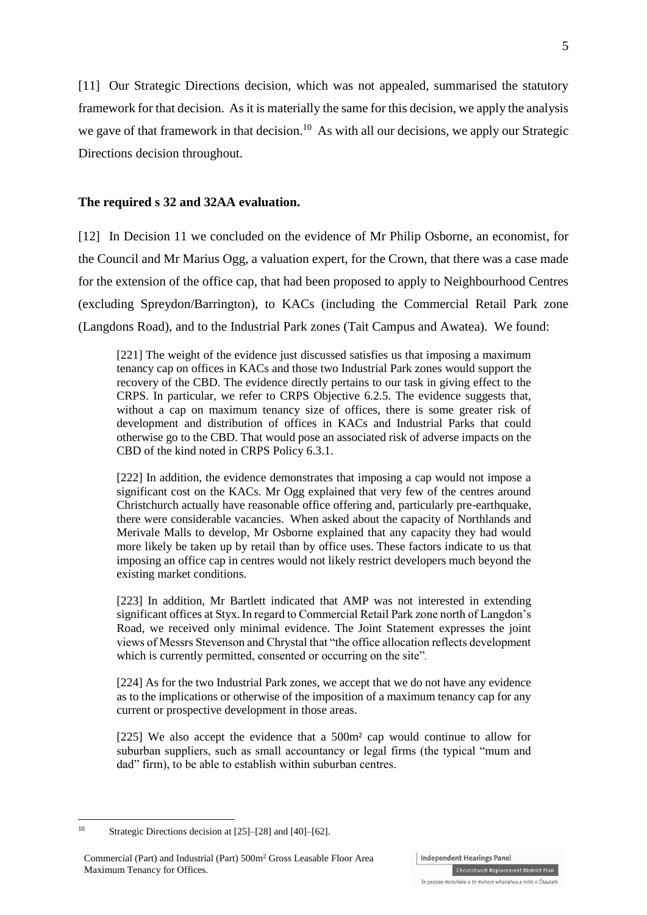[11] Our Strategic Directions decision, which was not appealed, summarised the statutory framework for that decision. As it is materially the same for this decision, we apply the analysis we gave of that framework in that decision.<sup>10</sup> As with all our decisions, we apply our Strategic Directions decision throughout.

#### **The required s 32 and 32AA evaluation.**

[12] In Decision 11 we concluded on the evidence of Mr Philip Osborne, an economist, for the Council and Mr Marius Ogg, a valuation expert, for the Crown, that there was a case made for the extension of the office cap, that had been proposed to apply to Neighbourhood Centres (excluding Spreydon/Barrington), to KACs (including the Commercial Retail Park zone (Langdons Road), and to the Industrial Park zones (Tait Campus and Awatea). We found:

[221] The weight of the evidence just discussed satisfies us that imposing a maximum tenancy cap on offices in KACs and those two Industrial Park zones would support the recovery of the CBD. The evidence directly pertains to our task in giving effect to the CRPS. In particular, we refer to CRPS Objective 6.2.5. The evidence suggests that, without a cap on maximum tenancy size of offices, there is some greater risk of development and distribution of offices in KACs and Industrial Parks that could otherwise go to the CBD. That would pose an associated risk of adverse impacts on the CBD of the kind noted in CRPS Policy 6.3.1.

[222] In addition, the evidence demonstrates that imposing a cap would not impose a significant cost on the KACs. Mr Ogg explained that very few of the centres around Christchurch actually have reasonable office offering and, particularly pre-earthquake, there were considerable vacancies. When asked about the capacity of Northlands and Merivale Malls to develop, Mr Osborne explained that any capacity they had would more likely be taken up by retail than by office uses. These factors indicate to us that imposing an office cap in centres would not likely restrict developers much beyond the existing market conditions.

[223] In addition, Mr Bartlett indicated that AMP was not interested in extending significant offices at Styx.In regard to Commercial Retail Park zone north of Langdon's Road, we received only minimal evidence. The Joint Statement expresses the joint views of Messrs Stevenson and Chrystal that "the office allocation reflects development which is currently permitted, consented or occurring on the site".

[224] As for the two Industrial Park zones, we accept that we do not have any evidence as to the implications or otherwise of the imposition of a maximum tenancy cap for any current or prospective development in those areas.

[225] We also accept the evidence that a 500m² cap would continue to allow for suburban suppliers, such as small accountancy or legal firms (the typical "mum and dad" firm), to be able to establish within suburban centres.

1

Te paepae motuhake o te mahere whakahou a rohe o Ōtautahi

Christchurch Replacement District Plan

<sup>10</sup> Strategic Directions decision at [25]–[28] and [40]–[62].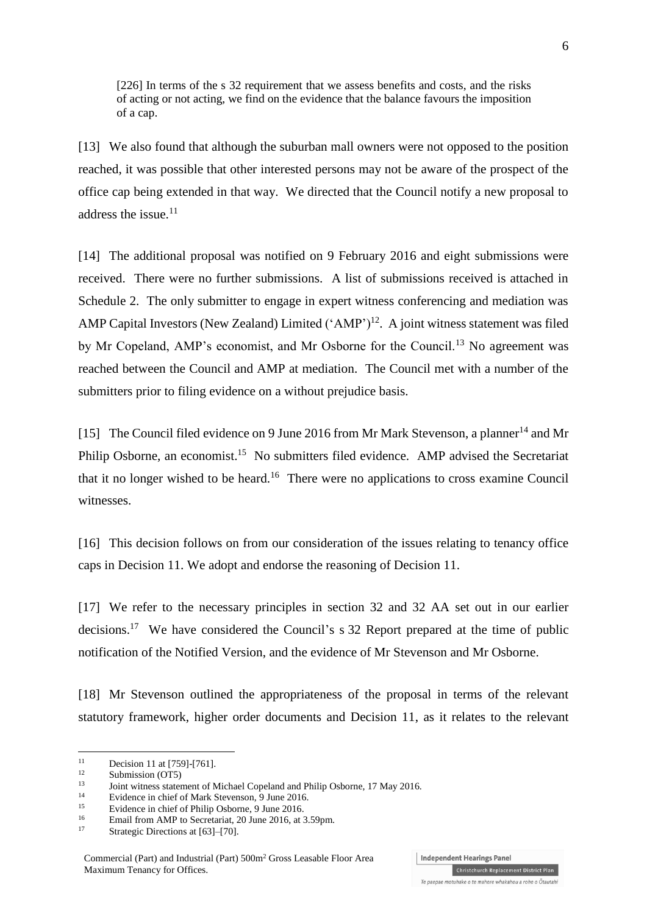[226] In terms of the s 32 requirement that we assess benefits and costs, and the risks of acting or not acting, we find on the evidence that the balance favours the imposition of a cap.

[13] We also found that although the suburban mall owners were not opposed to the position reached, it was possible that other interested persons may not be aware of the prospect of the office cap being extended in that way. We directed that the Council notify a new proposal to address the issue. $^{11}$ 

[14] The additional proposal was notified on 9 February 2016 and eight submissions were received. There were no further submissions. A list of submissions received is attached in Schedule 2. The only submitter to engage in expert witness conferencing and mediation was AMP Capital Investors (New Zealand) Limited  $(^{\circ}AMP^{\prime})^{12}$ . A joint witness statement was filed by Mr Copeland, AMP's economist, and Mr Osborne for the Council.<sup>13</sup> No agreement was reached between the Council and AMP at mediation. The Council met with a number of the submitters prior to filing evidence on a without prejudice basis.

[15] The Council filed evidence on 9 June 2016 from Mr Mark Stevenson, a planner<sup>14</sup> and Mr Philip Osborne, an economist.<sup>15</sup> No submitters filed evidence. AMP advised the Secretariat that it no longer wished to be heard.<sup>16</sup> There were no applications to cross examine Council witnesses.

[16] This decision follows on from our consideration of the issues relating to tenancy office caps in Decision 11. We adopt and endorse the reasoning of Decision 11.

[17] We refer to the necessary principles in section 32 and 32 AA set out in our earlier decisions.<sup>17</sup> We have considered the Council's s 32 Report prepared at the time of public notification of the Notified Version, and the evidence of Mr Stevenson and Mr Osborne.

[18] Mr Stevenson outlined the appropriateness of the proposal in terms of the relevant statutory framework, higher order documents and Decision 11, as it relates to the relevant

<u>.</u>

Christchurch Replacement District Plan

<sup>&</sup>lt;sup>11</sup> Decision 11 at [759]-[761].<br><sup>12</sup> Submission (OT5)

 $12$  Submission (OT5)

<sup>&</sup>lt;sup>13</sup> Joint witness statement of Michael Copeland and Philip Osborne, 17 May 2016.

<sup>&</sup>lt;sup>14</sup> Evidence in chief of Mark Stevenson, 9 June 2016.

<sup>&</sup>lt;sup>15</sup> Evidence in chief of Philip Osborne, 9 June 2016.

<sup>&</sup>lt;sup>16</sup> Email from AMP to Secretariat, 20 June 2016, at 3.59pm.

Strategic Directions at [63]–[70].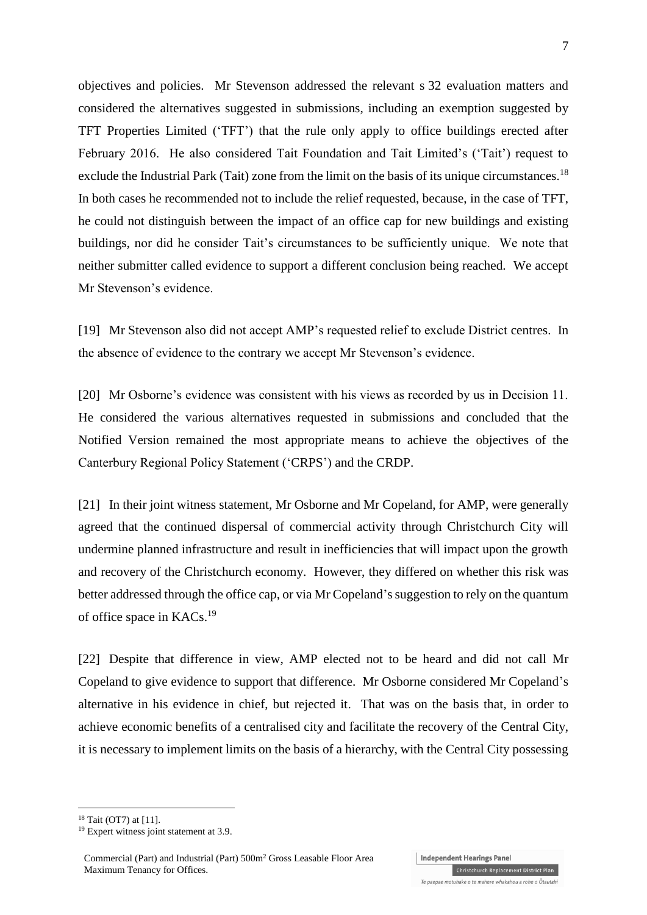objectives and policies. Mr Stevenson addressed the relevant s 32 evaluation matters and considered the alternatives suggested in submissions, including an exemption suggested by TFT Properties Limited ('TFT') that the rule only apply to office buildings erected after February 2016. He also considered Tait Foundation and Tait Limited's ('Tait') request to exclude the Industrial Park (Tait) zone from the limit on the basis of its unique circumstances.<sup>18</sup> In both cases he recommended not to include the relief requested, because, in the case of TFT, he could not distinguish between the impact of an office cap for new buildings and existing buildings, nor did he consider Tait's circumstances to be sufficiently unique. We note that neither submitter called evidence to support a different conclusion being reached. We accept Mr Stevenson's evidence.

[19] Mr Stevenson also did not accept AMP's requested relief to exclude District centres. In the absence of evidence to the contrary we accept Mr Stevenson's evidence.

[20] Mr Osborne's evidence was consistent with his views as recorded by us in Decision 11. He considered the various alternatives requested in submissions and concluded that the Notified Version remained the most appropriate means to achieve the objectives of the Canterbury Regional Policy Statement ('CRPS') and the CRDP.

[21] In their joint witness statement, Mr Osborne and Mr Copeland, for AMP, were generally agreed that the continued dispersal of commercial activity through Christchurch City will undermine planned infrastructure and result in inefficiencies that will impact upon the growth and recovery of the Christchurch economy. However, they differed on whether this risk was better addressed through the office cap, or via Mr Copeland's suggestion to rely on the quantum of office space in KACs.<sup>19</sup>

[22] Despite that difference in view, AMP elected not to be heard and did not call Mr Copeland to give evidence to support that difference. Mr Osborne considered Mr Copeland's alternative in his evidence in chief, but rejected it. That was on the basis that, in order to achieve economic benefits of a centralised city and facilitate the recovery of the Central City, it is necessary to implement limits on the basis of a hierarchy, with the Central City possessing

<sup>18</sup> Tait (OT7) at [11].

<u>.</u>

Te paepae motuhake o te mahere whakahou a rohe o Ōtautahi

Christchurch Replacement District Plan

<sup>&</sup>lt;sup>19</sup> Expert witness joint statement at 3.9.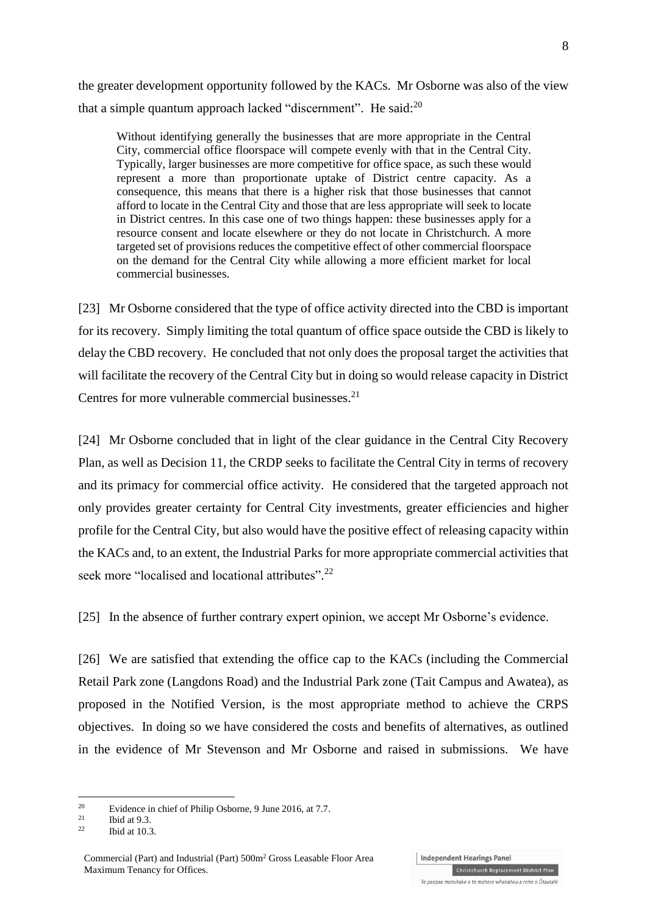the greater development opportunity followed by the KACs. Mr Osborne was also of the view that a simple quantum approach lacked "discernment". He said: $^{20}$ 

Without identifying generally the businesses that are more appropriate in the Central City, commercial office floorspace will compete evenly with that in the Central City. Typically, larger businesses are more competitive for office space, as such these would represent a more than proportionate uptake of District centre capacity. As a consequence, this means that there is a higher risk that those businesses that cannot afford to locate in the Central City and those that are less appropriate will seek to locate in District centres. In this case one of two things happen: these businesses apply for a resource consent and locate elsewhere or they do not locate in Christchurch. A more targeted set of provisions reduces the competitive effect of other commercial floorspace on the demand for the Central City while allowing a more efficient market for local commercial businesses.

[23] Mr Osborne considered that the type of office activity directed into the CBD is important for its recovery. Simply limiting the total quantum of office space outside the CBD is likely to delay the CBD recovery. He concluded that not only does the proposal target the activities that will facilitate the recovery of the Central City but in doing so would release capacity in District Centres for more vulnerable commercial businesses.<sup>21</sup>

[24] Mr Osborne concluded that in light of the clear guidance in the Central City Recovery Plan, as well as Decision 11, the CRDP seeks to facilitate the Central City in terms of recovery and its primacy for commercial office activity. He considered that the targeted approach not only provides greater certainty for Central City investments, greater efficiencies and higher profile for the Central City, but also would have the positive effect of releasing capacity within the KACs and, to an extent, the Industrial Parks for more appropriate commercial activities that seek more "localised and locational attributes".<sup>22</sup>

[25] In the absence of further contrary expert opinion, we accept Mr Osborne's evidence.

[26] We are satisfied that extending the office cap to the KACs (including the Commercial Retail Park zone (Langdons Road) and the Industrial Park zone (Tait Campus and Awatea), as proposed in the Notified Version, is the most appropriate method to achieve the CRPS objectives. In doing so we have considered the costs and benefits of alternatives, as outlined in the evidence of Mr Stevenson and Mr Osborne and raised in submissions. We have

1

<sup>&</sup>lt;sup>20</sup> Evidence in chief of Philip Osborne, 9 June 2016, at 7.7.

 $\frac{21}{22}$  Ibid at 9.3.

Ibid at  $10.3$ .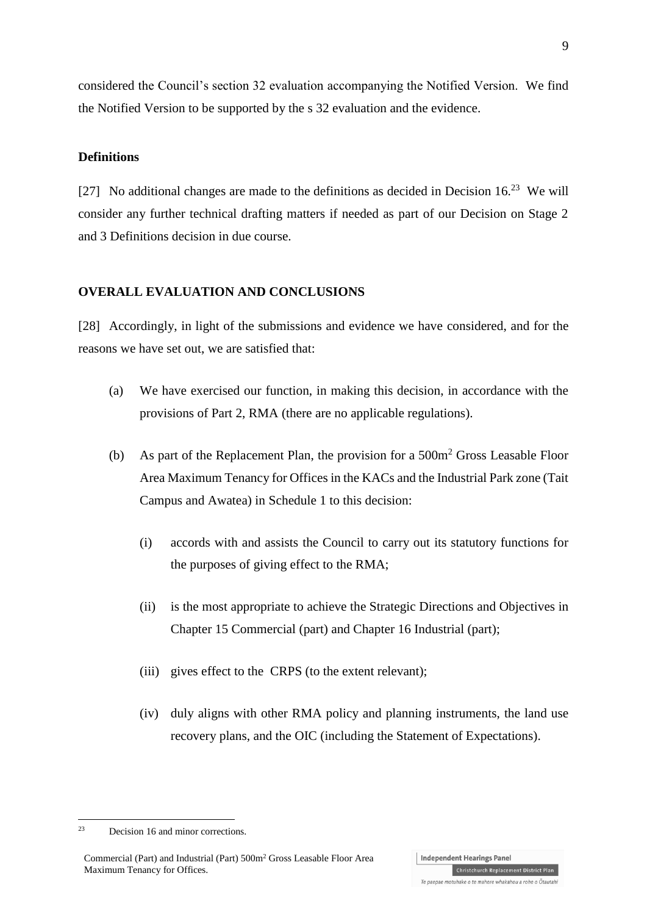considered the Council's section 32 evaluation accompanying the Notified Version. We find the Notified Version to be supported by the s 32 evaluation and the evidence.

#### **Definitions**

[27] No additional changes are made to the definitions as decided in Decision  $16<sup>23</sup>$  We will consider any further technical drafting matters if needed as part of our Decision on Stage 2 and 3 Definitions decision in due course.

#### **OVERALL EVALUATION AND CONCLUSIONS**

[28] Accordingly, in light of the submissions and evidence we have considered, and for the reasons we have set out, we are satisfied that:

- (a) We have exercised our function, in making this decision, in accordance with the provisions of Part 2, RMA (there are no applicable regulations).
- (b) As part of the Replacement Plan, the provision for a 500m<sup>2</sup> Gross Leasable Floor Area Maximum Tenancy for Offices in the KACs and the Industrial Park zone (Tait Campus and Awatea) in Schedule 1 to this decision:
	- (i) accords with and assists the Council to carry out its statutory functions for the purposes of giving effect to the RMA;
	- (ii) is the most appropriate to achieve the Strategic Directions and Objectives in Chapter 15 Commercial (part) and Chapter 16 Industrial (part);
	- (iii) gives effect to the CRPS (to the extent relevant);
	- (iv) duly aligns with other RMA policy and planning instruments, the land use recovery plans, and the OIC (including the Statement of Expectations).

1

<sup>23</sup> Decision 16 and minor corrections.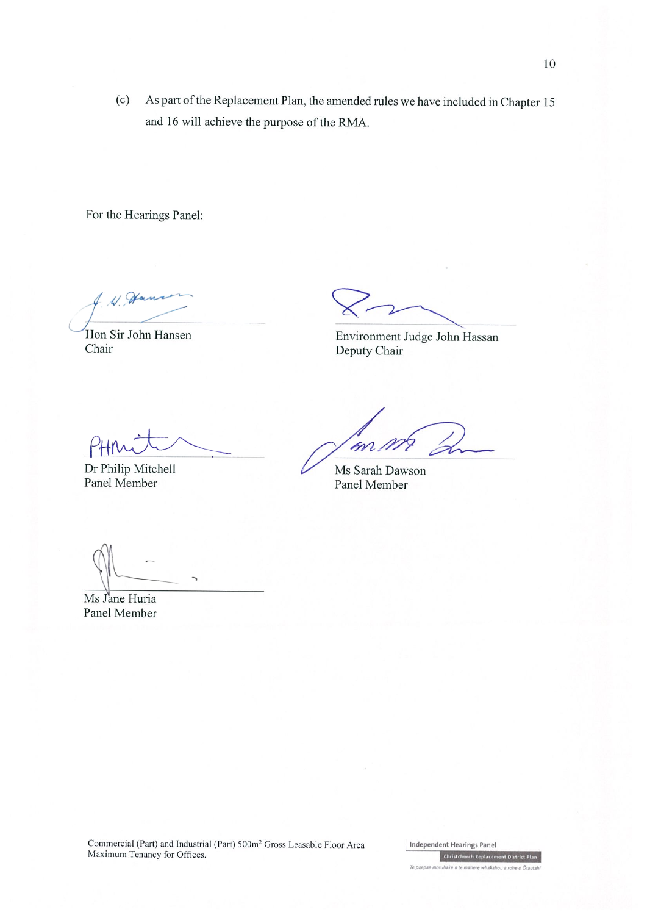As part of the Replacement Plan, the amended rules we have included in Chapter 15  $(c)$ and 16 will achieve the purpose of the RMA.

For the Hearings Panel:

W. Han

Hon Sir John Hansen Chair

Environment Judge John Hassan Deputy Chair

Dr Philip Mitchell Panel Member

m

Ms Sarah Dawson Panel Member

Ms Jane Huria Panel Member

Commercial (Part) and Industrial (Part) 500m<sup>2</sup> Gross Leasable Floor Area Maximum Tenancy for Offices.

Independent Hearings Panel **Christchurch Replacement District Pla** Te paepae motuhake o te mahere whakahou a rohe o Ōtautah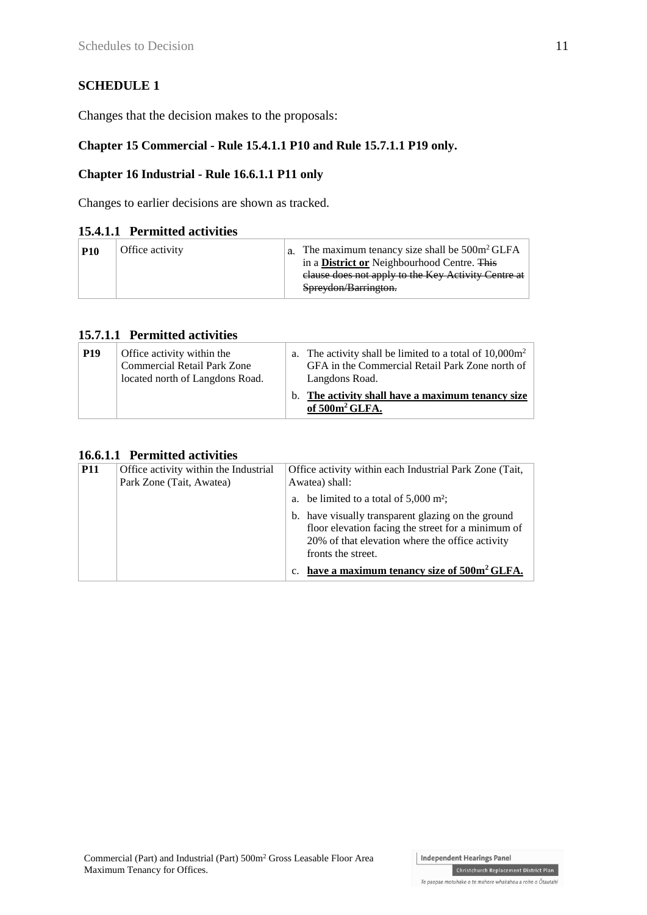## **SCHEDULE 1**

Changes that the decision makes to the proposals:

## **Chapter 15 Commercial - Rule 15.4.1.1 P10 and Rule 15.7.1.1 P19 only.**

### **Chapter 16 Industrial - Rule 16.6.1.1 P11 only**

Changes to earlier decisions are shown as tracked.

### **15.4.1.1 Permitted activities**

| <b>P10</b> | Office activity | a. The maximum tenancy size shall be $500m^2$ GLFA<br>in a <b>District or</b> Neighbourhood Centre. This |  |
|------------|-----------------|----------------------------------------------------------------------------------------------------------|--|
|            |                 | clause does not apply to the Key Activity Centre at<br>Spreydon/Barrington.                              |  |

### **15.7.1.1 Permitted activities**

| <b>P19</b> | Office activity within the<br><b>Commercial Retail Park Zone</b><br>located north of Langdons Road. | a. The activity shall be limited to a total of $10,000m^2$<br>GFA in the Commercial Retail Park Zone north of<br>Langdons Road. |
|------------|-----------------------------------------------------------------------------------------------------|---------------------------------------------------------------------------------------------------------------------------------|
|            |                                                                                                     | b. The activity shall have a maximum tenancy size<br>of 500m <sup>2</sup> GLFA.                                                 |

#### **16.6.1.1 Permitted activities**

| <b>P11</b> | Office activity within the Industrial<br>Park Zone (Tait, Awatea) | Office activity within each Industrial Park Zone (Tait,<br>Awatea) shall:                                                                                                         |  |
|------------|-------------------------------------------------------------------|-----------------------------------------------------------------------------------------------------------------------------------------------------------------------------------|--|
|            |                                                                   | a. be limited to a total of $5,000 \text{ m}^2$ ;                                                                                                                                 |  |
|            |                                                                   | b. have visually transparent glazing on the ground<br>floor elevation facing the street for a minimum of<br>20% of that elevation where the office activity<br>fronts the street. |  |
|            |                                                                   | c. have a maximum tenancy size of 500m <sup>2</sup> GLFA.                                                                                                                         |  |

Christchurch Replacement District Plan Te paepae motuhake o te mahere whakahou a rohe o Ōtautahi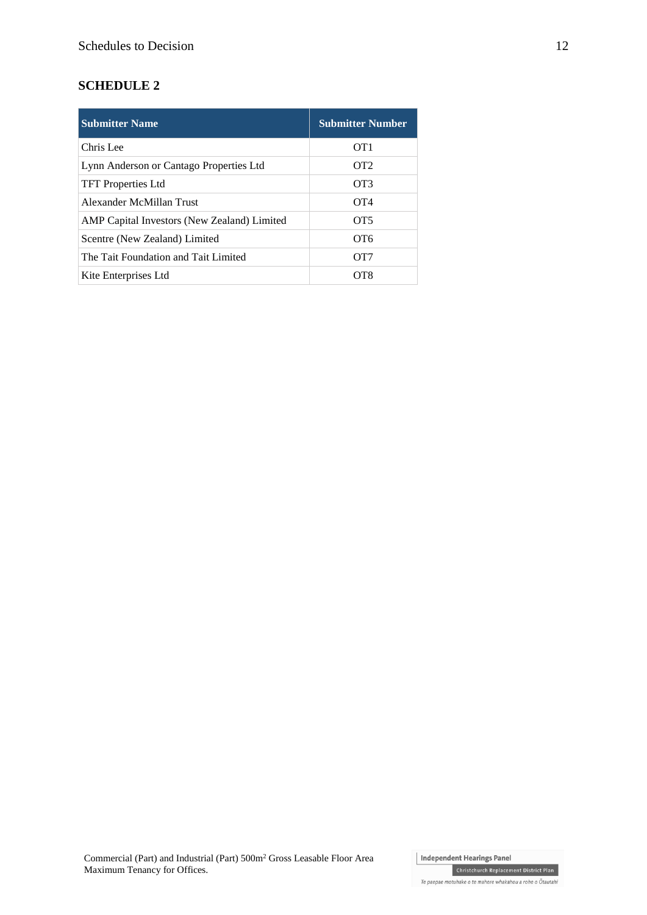## **SCHEDULE 2**

| <b>Submitter Name</b>                       | <b>Submitter Number</b> |
|---------------------------------------------|-------------------------|
| Chris Lee                                   | OT1                     |
| Lynn Anderson or Cantago Properties Ltd     | OT2                     |
| <b>TFT</b> Properties Ltd                   | OT3                     |
| Alexander McMillan Trust                    | $\overline{O}T4$        |
| AMP Capital Investors (New Zealand) Limited | OT <sub>5</sub>         |
| Scentre (New Zealand) Limited               | OT <sub>6</sub>         |
| The Tait Foundation and Tait Limited        | OT <sub>7</sub>         |
| Kite Enterprises Ltd                        | OT8                     |

Te paepae motuhake o te mahere whakahou a rohe o Ōtautahi